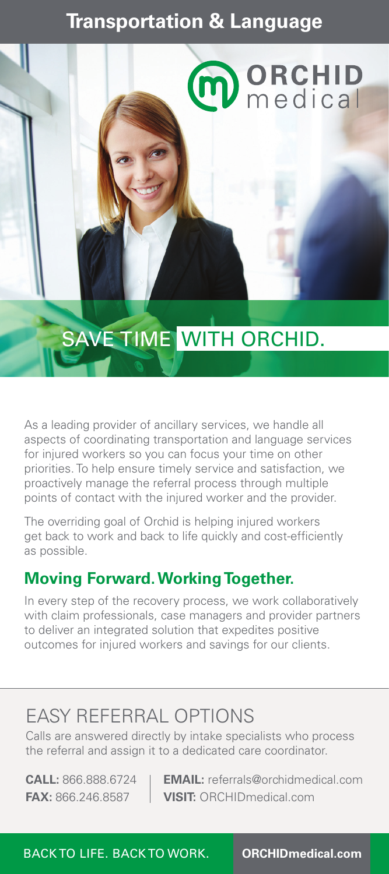## **Transportation & Language**



As a leading provider of ancillary services, we handle all aspects of coordinating transportation and language services for injured workers so you can focus your time on other priorities. To help ensure timely service and satisfaction, we proactively manage the referral process through multiple points of contact with the injured worker and the provider.

The overriding goal of Orchid is helping injured workers get back to work and back to life quickly and cost-efficiently as possible.

### **Moving Forward. Working Together.**

In every step of the recovery process, we work collaboratively with claim professionals, case managers and provider partners to deliver an integrated solution that expedites positive outcomes for injured workers and savings for our clients.

# EASY REFERRAL OPTIONS

Calls are answered directly by intake specialists who process the referral and assign it to a dedicated care coordinator.

**CALL:** 866.888.6724 **EMAIL:** referrals@orchidmedical.com **FAX:** 866.246.8587 **VISIT:** ORCHIDmedical.com

BACK TO LIFE. BACK TO WORK. **ORCHIDmedical.com**